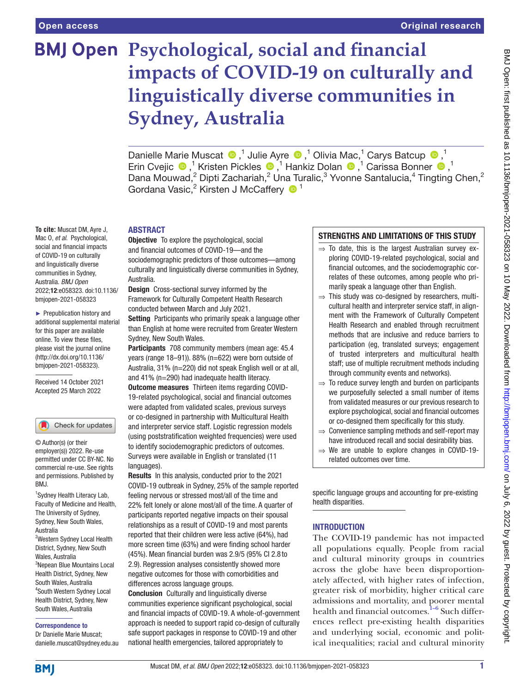**To cite:** Muscat DM, Ayre J, Mac O, *et al*. Psychological, social and financial impacts of COVID-19 on culturally and linguistically diverse communities in Sydney, Australia. *BMJ Open*

2022;12:e058323. doi:10.1136/ bmjopen-2021-058323 ► Prepublication history and additional supplemental material for this paper are available online. To view these files, please visit the journal online [\(http://dx.doi.org/10.1136/](http://dx.doi.org/10.1136/bmjopen-2021-058323) [bmjopen-2021-058323](http://dx.doi.org/10.1136/bmjopen-2021-058323)). Received 14 October 2021 Accepted 25 March 2022

# **BMJ Open Psychological, social and financial impacts of COVID-19 on culturally and linguistically diverse communities in Sydney, Australia**

DanielleMarie Muscat <sup>®</sup>,<sup>1</sup> Julie Ayre <sup>®</sup>,<sup>1</sup> Olivia Mac,<sup>1</sup> Carys Batcup <sup>®</sup>,<sup>1</sup> ErinCvejic  $\bigcirc$ ,<sup>1</sup> Kristen Pickles  $\bigcirc$ ,<sup>1</sup> Hankiz Dolan  $\bigcirc$ ,<sup>1</sup> Carissa Bonner  $\bigcirc$ ,<sup>1</sup> Dana Mouwad,<sup>2</sup> Dipti Zachariah,<sup>2</sup> Una Turalic,<sup>3</sup> Yvonne Santalucia,<sup>4</sup> Tingting Chen,<sup>2</sup> Gordana Vasic,<sup>2</sup> Kirsten J McCaffery <sup>1</sup>

# ABSTRACT

**Objective** To explore the psychological, social and financial outcomes of COVID-19—and the sociodemographic predictors of those outcomes—among culturally and linguistically diverse communities in Sydney, Australia.

Design Cross-sectional survey informed by the Framework for Culturally Competent Health Research conducted between March and July 2021.

Setting Participants who primarily speak a language other than English at home were recruited from Greater Western Sydney, New South Wales.

Participants 708 community members (mean age: 45.4 years (range 18–91)). 88% (n=622) were born outside of Australia, 31% (n=220) did not speak English well or at all, and 41% (n=290) had inadequate health literacy. Outcome measures Thirteen items regarding COVID-19-related psychological, social and financial outcomes were adapted from validated scales, previous surveys or co-designed in partnership with Multicultural Health and interpreter service staff. Logistic regression models (using poststratification weighted frequencies) were used to identify sociodemographic predictors of outcomes. Surveys were available in English or translated (11 languages).

Results In this analysis, conducted prior to the 2021 COVID-19 outbreak in Sydney, 25% of the sample reported feeling nervous or stressed most/all of the time and 22% felt lonely or alone most/all of the time. A quarter of participants reported negative impacts on their spousal relationships as a result of COVID-19 and most parents reported that their children were less active (64%), had more screen time (63%) and were finding school harder (45%). Mean financial burden was 2.9/5 (95% CI 2.8 to 2.9). Regression analyses consistently showed more negative outcomes for those with comorbidities and differences across language groups.

Conclusion Culturally and linguistically diverse communities experience significant psychological, social and financial impacts of COVID-19. A whole-of-government approach is needed to support rapid co-design of culturally safe support packages in response to COVID-19 and other national health emergencies, tailored appropriately to

# STRENGTHS AND LIMITATIONS OF THIS STUDY

- $\Rightarrow$  To date, this is the largest Australian survey exploring COVID-19-related psychological, social and financial outcomes, and the sociodemographic correlates of these outcomes, among people who primarily speak a language other than English.
- $\Rightarrow$  This study was co-designed by researchers, multicultural health and interpreter service staff, in alignment with the Framework of Culturally Competent Health Research and enabled through recruitment methods that are inclusive and reduce barriers to participation (eg, translated surveys; engagement of trusted interpreters and multicultural health staff; use of multiple recruitment methods including through community events and networks).
- $\Rightarrow$  To reduce survey length and burden on participants we purposefully selected a small number of items from validated measures or our previous research to explore psychological, social and financial outcomes or co-designed them specifically for this study.
- ⇒ Convenience sampling methods and self-report may have introduced recall and social desirability bias.
- $\Rightarrow$  We are unable to explore changes in COVID-19related outcomes over time.

specific language groups and accounting for pre-existing health disparities.

# **INTRODUCTION**

The COVID-19 pandemic has not impacted all populations equally. People from racial and cultural minority groups in countries across the globe have been disproportionately affected, with higher rates of infection, greater risk of morbidity, higher critical care admissions and mortality, and poorer mental health and financial outcomes. $1-6$  Such differences reflect pre-existing health disparities and underlying social, economic and political inequalities; racial and cultural minority

# South Wales, Australia

Wales, Australia

Australia

BMJ.

4 South Western Sydney Local Health District, Sydney, New South Wales, Australia

1 Sydney Health Literacy Lab, Faculty of Medicine and Health, The University of Sydney, Sydney, New South Wales,

Check for updates

© Author(s) (or their employer(s)) 2022. Re-use permitted under CC BY-NC. No commercial re-use. See rights and permissions. Published by

2 Western Sydney Local Health District, Sydney, New South

3 Nepean Blue Mountains Local Health District, Sydney, New

#### Correspondence to

Dr Danielle Marie Muscat; danielle.muscat@sydney.edu.au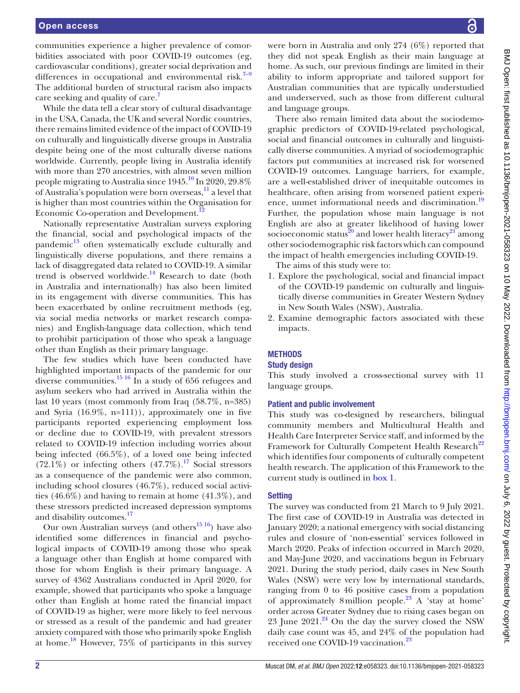#### Open access

communities experience a higher prevalence of comorbidities associated with poor COVID-19 outcomes (eg, cardiovascular conditions), greater social deprivation and differences in occupational and environmental risk. $7-9$ The additional burden of structural racism also impacts care seeking and quality of care.<sup>[7](#page-10-1)</sup>

While the data tell a clear story of cultural disadvantage in the USA, Canada, the UK and several Nordic countries, there remains limited evidence of the impact of COVID-19 on culturally and linguistically diverse groups in Australia despite being one of the most culturally diverse nations worldwide. Currently, people living in Australia identify with more than 270 ancestries, with almost seven million people migrating to Australia since  $1945<sup>10</sup>$  In 2020, 29.8% of Australia's population were born overseas, $\frac{11}{11}$  a level that is higher than most countries within the Organisation for Economic Co-operation and Development.<sup>1</sup>

Nationally representative Australian surveys exploring the financial, social and psychological impacts of the pandemic<sup>13</sup> often systematically exclude culturally and linguistically diverse populations, and there remains a lack of disaggregated data related to COVID-19. A similar trend is observed worldwide.<sup>14</sup> Research to date (both in Australia and internationally) has also been limited in its engagement with diverse communities. This has been exacerbated by online recruitment methods (eg, via social media networks or market research companies) and English-language data collection, which tend to prohibit participation of those who speak a language other than English as their primary language.

The few studies which have been conducted have highlighted important impacts of the pandemic for our diverse communities.<sup>15 16</sup> In a study of 656 refugees and asylum seekers who had arrived in Australia within the last 10 years (most commonly from Iraq (58.7%, n=385) and Syria (16.9%, n=111)), approximately one in five participants reported experiencing employment loss or decline due to COVID-19, with prevalent stressors related to COVID-19 infection including worries about being infected (66.5%), of a loved one being infected  $(72.1\%)$  or infecting others  $(47.7\%)$ .<sup>17</sup> Social stressors as a consequence of the pandemic were also common, including school closures (46.7%), reduced social activities (46.6%) and having to remain at home (41.3%), and these stressors predicted increased depression symptoms and disability outcomes.<sup>[17](#page-10-8)</sup>

Our own Australian surveys (and others $^{15}$ <sup>16</sup>) have also identified some differences in financial and psychological impacts of COVID-19 among those who speak a language other than English at home compared with those for whom English is their primary language. A survey of 4362 Australians conducted in April 2020, for example, showed that participants who spoke a language other than English at home rated the financial impact of COVID-19 as higher, were more likely to feel nervous or stressed as a result of the pandemic and had greater anxiety compared with those who primarily spoke English at home.<sup>[18](#page-10-9)</sup> However,  $75\%$  of participants in this survey

were born in Australia and only 274 (6%) reported that they did not speak English as their main language at home. As such, our previous findings are limited in their ability to inform appropriate and tailored support for Australian communities that are typically understudied and underserved, such as those from different cultural and language groups.

There also remain limited data about the sociodemographic predictors of COVID-19-related psychological, social and financial outcomes in culturally and linguistically diverse communities. A myriad of sociodemographic factors put communities at increased risk for worsened COVID-19 outcomes. Language barriers, for example, are a well-established driver of inequitable outcomes in healthcare, often arising from worsened patient experi-ence, unmet informational needs and discrimination.<sup>[19](#page-10-10)</sup> Further, the population whose main language is not English are also at greater likelihood of having lower socioeconomic status<sup>[20](#page-10-11)</sup> and lower health literacy<sup>21</sup> among other sociodemographic risk factors which can compound the impact of health emergencies including COVID-19.

The aims of this study were to:

- 1. Explore the psychological, social and financial impact of the COVID-19 pandemic on culturally and linguistically diverse communities in Greater Western Sydney in New South Wales (NSW), Australia.
- 2. Examine demographic factors associated with these impacts.

# **METHODS**

# Study design

This study involved a cross-sectional survey with 11 language groups.

# Patient and public involvement

This study was co-designed by researchers, bilingual community members and Multicultural Health and Health Care Interpreter Service staff, and informed by the Framework for Culturally Competent Health Research<sup>[22](#page-10-13)</sup> which identifies four components of culturally competent health research. The application of this Framework to the current study is outlined in [box](#page-2-0) 1.

# **Setting**

The survey was conducted from 21 March to 9 July 2021. The first case of COVID-19 in Australia was detected in January 2020; a national emergency with social distancing rules and closure of 'non-essential' services followed in March 2020. Peaks of infection occurred in March 2020, and May-June 2020, and vaccinations begun in February 2021. During the study period, daily cases in New South Wales (NSW) were very low by international standards, ranging from 0 to 46 positive cases from a population of approximately 8million people.[23](#page-10-14) A 'stay at home' order across Greater Sydney due to rising cases began on 23 June  $2021<sup>24</sup>$  On the day the survey closed the NSW daily case count was 45, and 24% of the population had received one COVID-19 vaccination.<sup>[23](#page-10-14)</sup>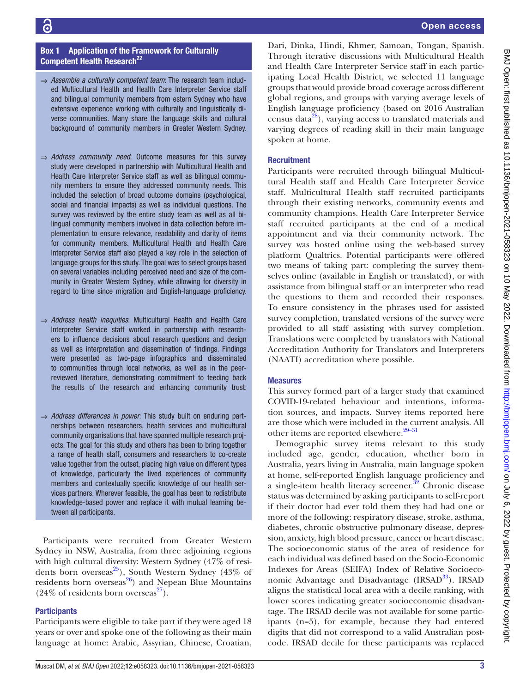# Box 1 Application of the Framework for Culturally Competent Health Research<sup>[22](#page-10-13)</sup>

- <span id="page-2-0"></span>⇒ *Assemble a culturally competent team*: The research team included Multicultural Health and Health Care Interpreter Service staff and bilingual community members from estern Sydney who have extensive experience working with culturally and linguistically diverse communities. Many share the language skills and cultural background of community members in Greater Western Sydney.
- ⇒ *Address community need*: Outcome measures for this survey study were developed in partnership with Multicultural Health and Health Care Interpreter Service staff as well as bilingual community members to ensure they addressed community needs. This included the selection of broad outcome domains (psychological, social and financial impacts) as well as individual questions. The survey was reviewed by the entire study team as well as all bilingual community members involved in data collection before implementation to ensure relevance, readability and clarity of items for community members. Multicultural Health and Health Care Interpreter Service staff also played a key role in the selection of language groups for this study. The goal was to select groups based on several variables including perceived need and size of the community in Greater Western Sydney, while allowing for diversity in regard to time since migration and English-language proficiency.
- ⇒ *Address health inequities*: Multicultural Health and Health Care Interpreter Service staff worked in partnership with researchers to influence decisions about research questions and design as well as interpretation and dissemination of findings. Findings were presented as two-page infographics and disseminated to communities through local networks, as well as in the peerreviewed literature, demonstrating commitment to feeding back the results of the research and enhancing community trust.
- ⇒ *Address differences in power*: This study built on enduring partnerships between researchers, health services and multicultural community organisations that have spanned multiple research projects. The goal for this study and others has been to bring together a range of health staff, consumers and researchers to co-create value together from the outset, placing high value on different types of knowledge, particularly the lived experiences of community members and contextually specific knowledge of our health services partners. Wherever feasible, the goal has been to redistribute knowledge-based power and replace it with mutual learning between all participants.

Participants were recruited from Greater Western Sydney in NSW, Australia, from three adjoining regions with high cultural diversity: Western Sydney (47% of residents born overseas<sup>25</sup>), South Western Sydney (43\%) of residents born overseas<sup>26</sup>) and Nepean Blue Mountains  $(24\% \text{ of residents born overseas}^{27}).$  $(24\% \text{ of residents born overseas}^{27}).$  $(24\% \text{ of residents born overseas}^{27}).$ 

# **Participants**

Participants were eligible to take part if they were aged 18 years or over and spoke one of the following as their main language at home: Arabic, Assyrian, Chinese, Croatian,

Dari, Dinka, Hindi, Khmer, Samoan, Tongan, Spanish. Through iterative discussions with Multicultural Health and Health Care Interpreter Service staff in each participating Local Health District, we selected 11 language groups that would provide broad coverage across different global regions, and groups with varying average levels of English language proficiency (based on 2016 Australian census data<sup>28</sup>), varying access to translated materials and varying degrees of reading skill in their main language spoken at home.

# **Recruitment**

Participants were recruited through bilingual Multicultural Health staff and Health Care Interpreter Service staff. Multicultural Health staff recruited participants through their existing networks, community events and community champions. Health Care Interpreter Service staff recruited participants at the end of a medical appointment and via their community network. The survey was hosted online using the web-based survey platform Qualtrics. Potential participants were offered two means of taking part: completing the survey themselves online (available in English or translated), or with assistance from bilingual staff or an interpreter who read the questions to them and recorded their responses. To ensure consistency in the phrases used for assisted survey completion, translated versions of the survey were provided to all staff assisting with survey completion. Translations were completed by translators with National Accreditation Authority for Translators and Interpreters (NAATI) accreditation where possible.

# Measures

This survey formed part of a larger study that examined COVID-19-related behaviour and intentions, information sources, and impacts. Survey items reported here are those which were included in the current analysis. All other items are reported elsewhere. $29-31$ 

Demographic survey items relevant to this study included age, gender, education, whether born in Australia, years living in Australia, main language spoken at home, self-reported English language proficiency and a single-item health literacy screener.<sup>[32](#page-10-21)</sup> Chronic disease status was determined by asking participants to self-report if their doctor had ever told them they had had one or more of the following: respiratory disease, stroke, asthma, diabetes, chronic obstructive pulmonary disease, depression, anxiety, high blood pressure, cancer or heart disease. The socioeconomic status of the area of residence for each individual was defined based on the Socio-Economic Indexes for Areas (SEIFA) Index of Relative Socioeconomic Advantage and Disadvantage (IRSAD<sup>33</sup>). IRSAD aligns the statistical local area with a decile ranking, with lower scores indicating greater socioeconomic disadvantage. The IRSAD decile was not available for some participants (n=5), for example, because they had entered digits that did not correspond to a valid Australian postcode. IRSAD decile for these participants was replaced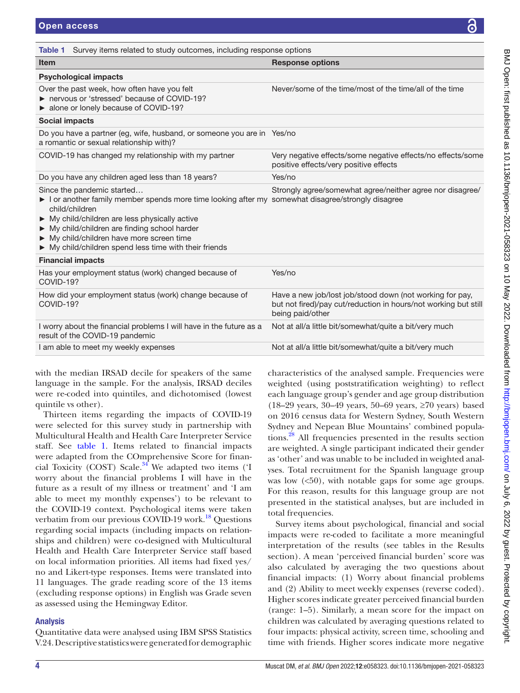| <b>Item</b>                                                                                                                                                                                                                                                                                                                                                         | <b>Response options</b>                                                                                                                         |
|---------------------------------------------------------------------------------------------------------------------------------------------------------------------------------------------------------------------------------------------------------------------------------------------------------------------------------------------------------------------|-------------------------------------------------------------------------------------------------------------------------------------------------|
| <b>Psychological impacts</b>                                                                                                                                                                                                                                                                                                                                        |                                                                                                                                                 |
| Over the past week, how often have you felt<br>reading here reserve to the network of COVID-19?<br>• alone or lonely because of COVID-19?                                                                                                                                                                                                                           | Never/some of the time/most of the time/all of the time                                                                                         |
| Social impacts                                                                                                                                                                                                                                                                                                                                                      |                                                                                                                                                 |
| Do you have a partner (eg, wife, husband, or someone you are in Yes/no<br>a romantic or sexual relationship with)?                                                                                                                                                                                                                                                  |                                                                                                                                                 |
| COVID-19 has changed my relationship with my partner                                                                                                                                                                                                                                                                                                                | Very negative effects/some negative effects/no effects/some<br>positive effects/very positive effects                                           |
| Do you have any children aged less than 18 years?                                                                                                                                                                                                                                                                                                                   | Yes/no                                                                                                                                          |
| Since the pandemic started<br>I or another family member spends more time looking after my somewhat disagree/strongly disagree<br>child/children<br>$\triangleright$ My child/children are less physically active<br>My child/children are finding school harder<br>My child/children have more screen time<br>My child/children spend less time with their friends | Strongly agree/somewhat agree/neither agree nor disagree/                                                                                       |
| <b>Financial impacts</b>                                                                                                                                                                                                                                                                                                                                            |                                                                                                                                                 |
| Has your employment status (work) changed because of<br>COVID-19?                                                                                                                                                                                                                                                                                                   | Yes/no                                                                                                                                          |
| How did your employment status (work) change because of<br>COVID-19?                                                                                                                                                                                                                                                                                                | Have a new job/lost job/stood down (not working for pay,<br>but not fired)/pay cut/reduction in hours/not working but still<br>being paid/other |
| I worry about the financial problems I will have in the future as a<br>result of the COVID-19 pandemic                                                                                                                                                                                                                                                              | Not at all/a little bit/somewhat/quite a bit/very much                                                                                          |
|                                                                                                                                                                                                                                                                                                                                                                     | Not at all/a little bit/somewhat/quite a bit/very much                                                                                          |

with the median IRSAD decile for speakers of the same language in the sample. For the analysis, IRSAD deciles were re-coded into quintiles, and dichotomised (lowest quintile vs other).

<span id="page-3-0"></span>Table 1 Survey items related to study outcomes, including response options

Thirteen items regarding the impacts of COVID-19 were selected for this survey study in partnership with Multicultural Health and Health Care Interpreter Service staff. See [table](#page-3-0) 1. Items related to financial impacts were adapted from the COmprehensive Score for financial Toxicity (COST) Scale. $34^4$  We adapted two items ('I worry about the financial problems I will have in the future as a result of my illness or treatment' and 'I am able to meet my monthly expenses') to be relevant to the COVID-19 context. Psychological items were taken verbatim from our previous COVID-19 work.<sup>[18](#page-10-9)</sup> Questions regarding social impacts (including impacts on relationships and children) were co-designed with Multicultural Health and Health Care Interpreter Service staff based on local information priorities. All items had fixed yes/ no and Likert-type responses. Items were translated into 11 languages. The grade reading score of the 13 items (excluding response options) in English was Grade seven as assessed using the Hemingway Editor.

# Analysis

Quantitative data were analysed using IBM SPSS Statistics V.24. Descriptive statistics were generated for demographic

characteristics of the analysed sample. Frequencies were weighted (using poststratification weighting) to reflect each language group's gender and age group distribution (18–29 years, 30–49 years, 50–69 years, ≥70 years) based on 2016 census data for Western Sydney, South Western Sydney and Nepean Blue Mountains' combined populations.[28](#page-10-19) All frequencies presented in the results section are weighted. A single participant indicated their gender as 'other' and was unable to be included in weighted analyses. Total recruitment for the Spanish language group was low  $(50)$ , with notable gaps for some age groups. For this reason, results for this language group are not presented in the statistical analyses, but are included in total frequencies.

Survey items about psychological, financial and social impacts were re-coded to facilitate a more meaningful interpretation of the results (see tables in the Results section). A mean 'perceived financial burden' score was also calculated by averaging the two questions about financial impacts: (1) Worry about financial problems and (2) Ability to meet weekly expenses (reverse coded). Higher scores indicate greater perceived financial burden (range: 1–5). Similarly, a mean score for the impact on children was calculated by averaging questions related to four impacts: physical activity, screen time, schooling and time with friends. Higher scores indicate more negative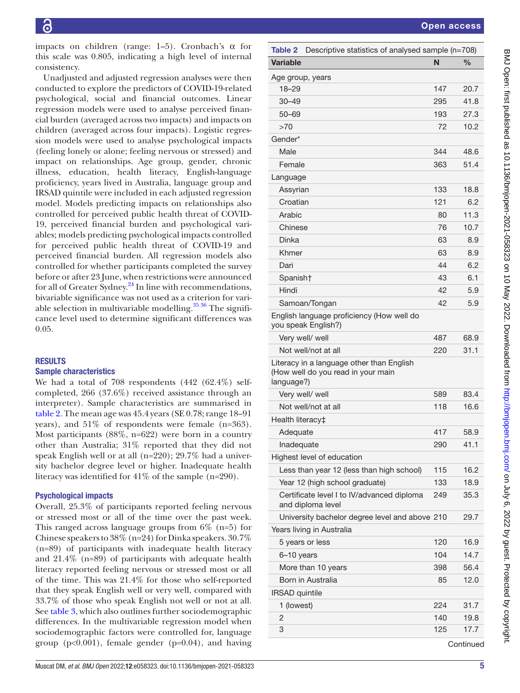impacts on children (range:  $1-5$ ). Cronbach's  $\alpha$  for this scale was 0.805, indicating a high level of internal consistency.

Unadjusted and adjusted regression analyses were then conducted to explore the predictors of COVID-19-related psychological, social and financial outcomes. Linear regression models were used to analyse perceived financial burden (averaged across two impacts) and impacts on children (averaged across four impacts). Logistic regression models were used to analyse psychological impacts (feeling lonely or alone; feeling nervous or stressed) and impact on relationships. Age group, gender, chronic illness, education, health literacy, English-language proficiency, years lived in Australia, language group and IRSAD quintile were included in each adjusted regression model. Models predicting impacts on relationships also controlled for perceived public health threat of COVID-19, perceived financial burden and psychological variables; models predicting psychological impacts controlled for perceived public health threat of COVID-19 and perceived financial burden. All regression models also controlled for whether participants completed the survey before or after 23 June, when restrictions were announced for all of Greater Sydney.<sup>24</sup> In line with recommendations, bivariable significance was not used as a criterion for variable selection in multivariable modelling. $35\frac{36}{10}$  The significance level used to determine significant differences was 0.05.

# **RESULTS**

# Sample characteristics

We had a total of 708 respondents (442 (62.4%) selfcompleted, 266 (37.6%) received assistance through an interpreter). Sample characteristics are summarised in [table](#page-4-0) 2. The mean age was 45.4 years (SE 0.78; range 18–91 years), and 51% of respondents were female (n=363). Most participants (88%, n=622) were born in a country other than Australia; 31% reported that they did not speak English well or at all (n=220); 29.7% had a university bachelor degree level or higher. Inadequate health literacy was identified for 41% of the sample (n=290).

# Psychological impacts

Overall, 25.3% of participants reported feeling nervous or stressed most or all of the time over the past week. This ranged across language groups from  $6\%$  (n=5) for Chinese speakers to 38% (n=24) for Dinka speakers. 30.7% (n=89) of participants with inadequate health literacy and 21.4% (n=89) of participants with adequate health literacy reported feeling nervous or stressed most or all of the time. This was 21.4% for those who self-reported that they speak English well or very well, compared with 33.7% of those who speak English not well or not at all. See [table](#page-5-0) 3, which also outlines further sociodemographic differences. In the multivariable regression model when sociodemographic factors were controlled for, language group ( $p<0.001$ ), female gender ( $p=0.04$ ), and having

<span id="page-4-0"></span>

| <b>Table 2</b><br>Descriptive statistics of analysed sample (n=708)                           |     |               |  |  |
|-----------------------------------------------------------------------------------------------|-----|---------------|--|--|
| <b>Variable</b>                                                                               | N   | $\frac{0}{0}$ |  |  |
| Age group, years                                                                              |     |               |  |  |
| $18 - 29$                                                                                     | 147 | 20.7          |  |  |
| $30 - 49$                                                                                     | 295 | 41.8          |  |  |
| $50 - 69$                                                                                     | 193 | 27.3          |  |  |
| >70                                                                                           | 72  | 10.2          |  |  |
| Gender*                                                                                       |     |               |  |  |
| Male                                                                                          | 344 | 48.6          |  |  |
| Female                                                                                        | 363 | 51.4          |  |  |
| Language                                                                                      |     |               |  |  |
| Assyrian                                                                                      | 133 | 18.8          |  |  |
| Croatian                                                                                      | 121 | 6.2           |  |  |
| Arabic                                                                                        | 80  | 11.3          |  |  |
| Chinese                                                                                       | 76  | 10.7          |  |  |
| <b>Dinka</b>                                                                                  | 63  | 8.9           |  |  |
| Khmer                                                                                         | 63  | 8.9           |  |  |
| Dari                                                                                          | 44  | 6.2           |  |  |
| Spanish†                                                                                      | 43  | 6.1           |  |  |
| Hindi                                                                                         | 42  | 5.9           |  |  |
| Samoan/Tongan                                                                                 | 42  | 5.9           |  |  |
| English language proficiency (How well do<br>you speak English?)                              |     |               |  |  |
| Very well/ well                                                                               | 487 | 68.9          |  |  |
| Not well/not at all                                                                           | 220 | 31.1          |  |  |
| Literacy in a language other than English<br>(How well do you read in your main<br>language?) |     |               |  |  |
| Very well/ well                                                                               | 589 | 83.4          |  |  |
| Not well/not at all                                                                           | 118 | 16.6          |  |  |
| Health literacy‡                                                                              |     |               |  |  |
| Adequate                                                                                      | 417 | 58.9          |  |  |
| Inadequate                                                                                    | 290 | 41.1          |  |  |
| Highest level of education                                                                    |     |               |  |  |
| Less than year 12 (less than high school)                                                     | 115 | 16.2          |  |  |
| Year 12 (high school graduate)                                                                | 133 | 18.9          |  |  |
| Certificate level I to IV/advanced diploma<br>and diploma level                               | 249 | 35.3          |  |  |
| University bachelor degree level and above 210                                                |     | 29.7          |  |  |
| Years living in Australia                                                                     |     |               |  |  |
| 5 years or less                                                                               | 120 | 16.9          |  |  |
| 6-10 years                                                                                    | 104 | 14.7          |  |  |
| More than 10 years                                                                            | 398 | 56.4          |  |  |
| Born in Australia                                                                             | 85  | 12.0          |  |  |
| <b>IRSAD</b> quintile                                                                         |     |               |  |  |
| 1 (lowest)                                                                                    | 224 | 31.7          |  |  |
| 2                                                                                             | 140 | 19.8          |  |  |
| 3                                                                                             | 125 | 17.7          |  |  |

**Continued**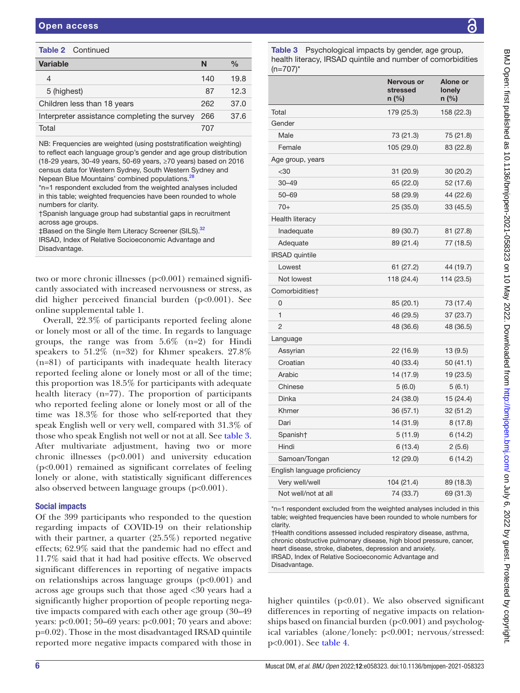| Variable                                     | N   | $\frac{0}{0}$ |
|----------------------------------------------|-----|---------------|
| 4                                            | 140 | 19.8          |
| 5 (highest)                                  | 87  | 12.3          |
| Children less than 18 years                  | 262 | 37.0          |
| Interpreter assistance completing the survey | 266 | 37.6          |
| Total                                        | 707 |               |
|                                              |     |               |

NB: Frequencies are weighted (using poststratification weighting) to reflect each language group's gender and age group distribution (18-29 years, 30-49 years, 50-69 years, ≥70 years) based on 2016 census data for Western Sydney, South Western Sydney and Nepean Blue Mountains' combined populations.<sup>2</sup>

\*n=1 respondent excluded from the weighted analyses included in this table; weighted frequencies have been rounded to whole numbers for clarity.

†Spanish language group had substantial gaps in recruitment across age groups.

‡Based on the Single Item Literacy Screener (SILS).<sup>[32](#page-10-21)</sup> IRSAD, Index of Relative Socioeconomic Advantage and Disadvantage.

two or more chronic illnesses (p<0.001) remained significantly associated with increased nervousness or stress, as did higher perceived financial burden (p<0.001). See [online supplemental table 1](https://dx.doi.org/10.1136/bmjopen-2021-058323).

Overall, 22.3% of participants reported feeling alone or lonely most or all of the time. In regards to language groups, the range was from  $5.6\%$  (n=2) for Hindi speakers to 51.2% (n=32) for Khmer speakers. 27.8% (n=81) of participants with inadequate health literacy reported feeling alone or lonely most or all of the time; this proportion was 18.5% for participants with adequate health literacy (n=77). The proportion of participants who reported feeling alone or lonely most or all of the time was 18.3% for those who self-reported that they speak English well or very well, compared with 31.3% of those who speak English not well or not at all. See [table](#page-5-0) 3. After multivariate adjustment, having two or more chronic illnesses (p<0.001) and university education (p<0.001) remained as significant correlates of feeling lonely or alone, with statistically significant differences also observed between language groups (p<0.001).

# Social impacts

Of the 399 participants who responded to the question regarding impacts of COVID-19 on their relationship with their partner, a quarter (25.5%) reported negative effects; 62.9% said that the pandemic had no effect and 11.7% said that it had had positive effects. We observed significant differences in reporting of negative impacts on relationships across language groups (p<0.001) and across age groups such that those aged <30 years had a significantly higher proportion of people reporting negative impacts compared with each other age group (30–49 years: p<0.001; 50–69 years: p<0.001; 70 years and above: p=0.02). Those in the most disadvantaged IRSAD quintile reported more negative impacts compared with those in

Table 2 Continued Table 3 Psychological impacts by gender, age group, health literacy, IRSAD quintile and number of comorbidities  $(n=707)^*$ 

<span id="page-5-0"></span>

|                              | Nervous or<br>stressed<br>n (%) | Alone or<br>lonely<br>$n$ (%) |
|------------------------------|---------------------------------|-------------------------------|
| Total                        | 179 (25.3)                      | 158 (22.3)                    |
| Gender                       |                                 |                               |
| Male                         | 73 (21.3)                       | 75 (21.8)                     |
| Female                       | 105 (29.0)                      | 83 (22.8)                     |
| Age group, years             |                                 |                               |
| $<$ 30                       | 31 (20.9)                       | 30 (20.2)                     |
| $30 - 49$                    | 65 (22.0)                       | 52 (17.6)                     |
| $50 - 69$                    | 58 (29.9)                       | 44 (22.6)                     |
| $70+$                        | 25 (35.0)                       | 33 (45.5)                     |
| Health literacy              |                                 |                               |
| Inadequate                   | 89 (30.7)                       | 81 (27.8)                     |
| Adequate                     | 89 (21.4)                       | 77 (18.5)                     |
| <b>IRSAD</b> quintile        |                                 |                               |
| Lowest                       | 61 (27.2)                       | 44 (19.7)                     |
| Not lowest                   | 118 (24.4)                      | 114 (23.5)                    |
| Comorbidities†               |                                 |                               |
| 0                            | 85 (20.1)                       | 73 (17.4)                     |
| $\mathbf{1}$                 | 46 (29.5)                       | 37 (23.7)                     |
| 2                            | 48 (36.6)                       | 48 (36.5)                     |
| Language                     |                                 |                               |
| Assyrian                     | 22 (16.9)                       | 13(9.5)                       |
| Croatian                     | 40 (33.4)                       | 50(41.1)                      |
| Arabic                       | 14 (17.9)                       | 19 (23.5)                     |
| Chinese                      | 5(6.0)                          | 5(6.1)                        |
| Dinka                        | 24 (38.0)                       | 15 (24.4)                     |
| Khmer                        | 36 (57.1)                       | 32 (51.2)                     |
| Dari                         | 14 (31.9)                       | 8(17.8)                       |
| Spanish†                     | 5(11.9)                         | 6(14.2)                       |
| Hindi                        | 6 (13.4)                        | 2(5.6)                        |
| Samoan/Tongan                | 12 (29.0)                       | 6(14.2)                       |
| English language proficiency |                                 |                               |
| Very well/well               | 104 (21.4)                      | 89 (18.3)                     |
| Not well/not at all          | 74 (33.7)                       | 69 (31.3)                     |

\*n=1 respondent excluded from the weighted analyses included in this table; weighted frequencies have been rounded to whole numbers for clarity.

†Health conditions assessed included respiratory disease, asthma, chronic obstructive pulmonary disease, high blood pressure, cancer, heart disease, stroke, diabetes, depression and anxiety. IRSAD, Index of Relative Socioeconomic Advantage and Disadvantage.

higher quintiles  $(p<0.01)$ . We also observed significant differences in reporting of negative impacts on relationships based on financial burden  $(p<0.001)$  and psychological variables (alone/lonely: p<0.001; nervous/stressed: p<0.001). See [table](#page-6-0) 4.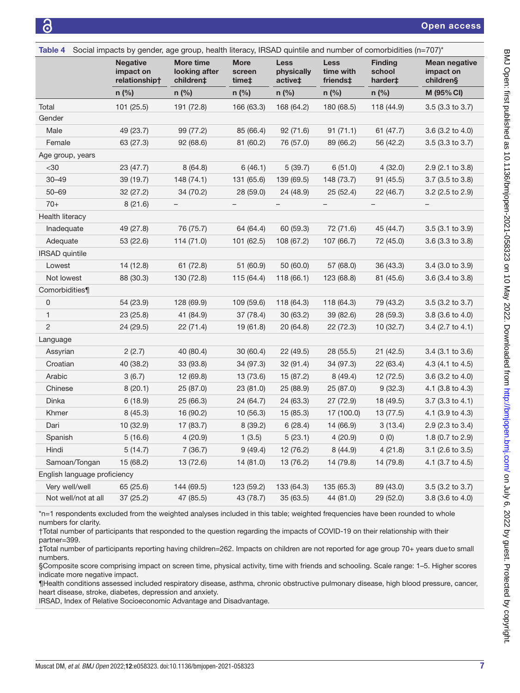<span id="page-6-0"></span>

| Social impacts by gender, age group, health literacy, IRSAD quintile and number of comorbidities (n=707)*<br>Table 4 |                                               |                                         |                                |                                      |                                      |                                     |                                                |
|----------------------------------------------------------------------------------------------------------------------|-----------------------------------------------|-----------------------------------------|--------------------------------|--------------------------------------|--------------------------------------|-------------------------------------|------------------------------------------------|
|                                                                                                                      | <b>Negative</b><br>impact on<br>relationship† | More time<br>looking after<br>children‡ | <b>More</b><br>screen<br>time‡ | <b>Less</b><br>physically<br>active‡ | <b>Less</b><br>time with<br>friends‡ | <b>Finding</b><br>school<br>harder‡ | <b>Mean negative</b><br>impact on<br>children§ |
|                                                                                                                      | $n$ (%)                                       | $n$ (%)                                 | $n$ (%)                        | $n$ (%)                              | $n$ (%)                              | $n$ (%)                             | M (95% CI)                                     |
| Total                                                                                                                | 101 (25.5)                                    | 191 (72.8)                              | 166 (63.3)                     | 168 (64.2)                           | 180 (68.5)                           | 118 (44.9)                          | $3.5(3.3 \text{ to } 3.7)$                     |
| Gender                                                                                                               |                                               |                                         |                                |                                      |                                      |                                     |                                                |
| Male                                                                                                                 | 49 (23.7)                                     | 99 (77.2)                               | 85 (66.4)                      | 92 (71.6)                            | 91(71.1)                             | 61 (47.7)                           | 3.6 (3.2 to 4.0)                               |
| Female                                                                                                               | 63 (27.3)                                     | 92 (68.6)                               | 81 (60.2)                      | 76 (57.0)                            | 89 (66.2)                            | 56 (42.2)                           | 3.5 (3.3 to 3.7)                               |
| Age group, years                                                                                                     |                                               |                                         |                                |                                      |                                      |                                     |                                                |
| $30$                                                                                                                 | 23 (47.7)                                     | 8(64.8)                                 | 6(46.1)                        | 5(39.7)                              | 6(51.0)                              | 4(32.0)                             | 2.9 (2.1 to 3.8)                               |
| $30 - 49$                                                                                                            | 39 (19.7)                                     | 148 (74.1)                              | 131 (65.6)                     | 139 (69.5)                           | 148 (73.7)                           | 91 (45.5)                           | 3.7 (3.5 to 3.8)                               |
| $50 - 69$                                                                                                            | 32 (27.2)                                     | 34 (70.2)                               | 28 (59.0)                      | 24 (48.9)                            | 25(52.4)                             | 22 (46.7)                           | $3.2$ (2.5 to 2.9)                             |
| $70+$                                                                                                                | 8(21.6)                                       |                                         |                                |                                      |                                      |                                     |                                                |
| Health literacy                                                                                                      |                                               |                                         |                                |                                      |                                      |                                     |                                                |
| Inadequate                                                                                                           | 49 (27.8)                                     | 76 (75.7)                               | 64 (64.4)                      | 60 (59.3)                            | 72 (71.6)                            | 45 (44.7)                           | $3.5(3.1)$ to $3.9$                            |
| Adequate                                                                                                             | 53 (22.6)                                     | 114 (71.0)                              | 101 (62.5)                     | 108 (67.2)                           | 107 (66.7)                           | 72 (45.0)                           | 3.6 (3.3 to 3.8)                               |
| <b>IRSAD</b> quintile                                                                                                |                                               |                                         |                                |                                      |                                      |                                     |                                                |
| Lowest                                                                                                               | 14 (12.8)                                     | 61 (72.8)                               | 51 (60.9)                      | 50 (60.0)                            | 57 (68.0)                            | 36 (43.3)                           | $3.4$ (3.0 to $3.9$ )                          |
| Not lowest                                                                                                           | 88 (30.3)                                     | 130 (72.8)                              | 115 (64.4)                     | 118(66.1)                            | 123 (68.8)                           | 81 (45.6)                           | 3.6 (3.4 to 3.8)                               |
| Comorbidities¶                                                                                                       |                                               |                                         |                                |                                      |                                      |                                     |                                                |
| 0                                                                                                                    | 54 (23.9)                                     | 128 (69.9)                              | 109 (59.6)                     | 118 (64.3)                           | 118 (64.3)                           | 79 (43.2)                           | 3.5 (3.2 to 3.7)                               |
| 1                                                                                                                    | 23 (25.8)                                     | 41 (84.9)                               | 37 (78.4)                      | 30(63.2)                             | 39 (82.6)                            | 28 (59.3)                           | 3.8 (3.6 to 4.0)                               |
| $\overline{c}$                                                                                                       | 24 (29.5)                                     | 22 (71.4)                               | 19 (61.8)                      | 20(64.8)                             | 22 (72.3)                            | 10 (32.7)                           | $3.4$ (2.7 to 4.1)                             |
| Language                                                                                                             |                                               |                                         |                                |                                      |                                      |                                     |                                                |
| Assyrian                                                                                                             | 2(2.7)                                        | 40 (80.4)                               | 30 (60.4)                      | 22 (49.5)                            | 28 (55.5)                            | 21 (42.5)                           | 3.4 (3.1 to 3.6)                               |
| Croatian                                                                                                             | 40 (38.2)                                     | 33 (93.8)                               | 34 (97.3)                      | 32 (91.4)                            | 34 (97.3)                            | 22 (63.4)                           | 4.3 (4.1 to 4.5)                               |
| Arabic                                                                                                               | 3(6.7)                                        | 12 (69.8)                               | 13 (73.6)                      | 15 (87.2)                            | 8(49.4)                              | 12(72.5)                            | 3.6 (3.2 to 4.0)                               |
| Chinese                                                                                                              | 8(20.1)                                       | 25 (87.0)                               | 23 (81.0)                      | 25 (88.9)                            | 25 (87.0)                            | 9(32.3)                             | 4.1 (3.8 to 4.3)                               |
| Dinka                                                                                                                | 6(18.9)                                       | 25 (66.3)                               | 24 (64.7)                      | 24 (63.3)                            | 27 (72.9)                            | 18 (49.5)                           | 3.7 (3.3 to 4.1)                               |
| Khmer                                                                                                                | 8(45.3)                                       | 16 (90.2)                               | 10(56.3)                       | 15(85.3)                             | 17 (100.0)                           | 13(77.5)                            | 4.1 (3.9 to 4.3)                               |
| Dari                                                                                                                 | 10 (32.9)                                     | 17 (83.7)                               | 8(39.2)                        | 6(28.4)                              | 14 (66.9)                            | 3(13.4)                             | 2.9 (2.3 to 3.4)                               |
| Spanish                                                                                                              | 5(16.6)                                       | 4(20.9)                                 | 1(3.5)                         | 5(23.1)                              | 4(20.9)                              | 0(0)                                | 1.8 (0.7 to 2.9)                               |
| Hindi                                                                                                                | 5(14.7)                                       | 7(36.7)                                 | 9(49.4)                        | 12 (76.2)                            | 8(44.9)                              | 4(21.8)                             | 3.1 (2.6 to 3.5)                               |
| Samoan/Tongan                                                                                                        | 15 (68.2)                                     | 13 (72.6)                               | 14 (81.0)                      | 13 (76.2)                            | 14 (79.8)                            | 14 (79.8)                           | 4.1 (3.7 to 4.5)                               |
| English language proficiency                                                                                         |                                               |                                         |                                |                                      |                                      |                                     |                                                |
| Very well/well                                                                                                       | 65 (25.6)                                     | 144 (69.5)                              | 123 (59.2)                     | 133 (64.3)                           | 135 (65.3)                           | 89 (43.0)                           | $3.5(3.2)$ to $3.7)$                           |
| Not well/not at all                                                                                                  | 37 (25.2)                                     | 47 (85.5)                               | 43 (78.7)                      | 35(63.5)                             | 44 (81.0)                            | 29(52.0)                            | 3.8 (3.6 to 4.0)                               |

\*n=1 respondents excluded from the weighted analyses included in this table; weighted frequencies have been rounded to whole numbers for clarity.

†Total number of participants that responded to the question regarding the impacts of COVID-19 on their relationship with their partner=399.

‡Total number of participants reporting having children=262. Impacts on children are not reported for age group 70+ years dueto small numbers.

§Composite score comprising impact on screen time, physical activity, time with friends and schooling. Scale range: 1–5. Higher scores indicate more negative impact.

¶Health conditions assessed included respiratory disease, asthma, chronic obstructive pulmonary disease, high blood pressure, cancer, heart disease, stroke, diabetes, depression and anxiety.

IRSAD, Index of Relative Socioeconomic Advantage and Disadvantage.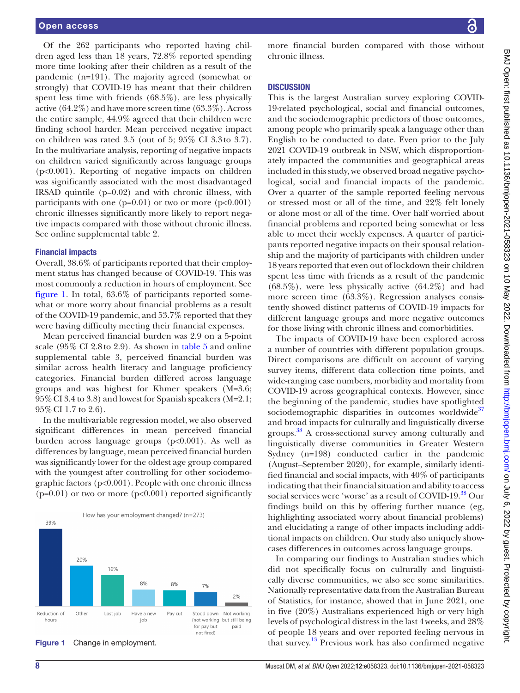Of the 262 participants who reported having children aged less than 18 years, 72.8% reported spending more time looking after their children as a result of the pandemic (n=191). The majority agreed (somewhat or strongly) that COVID-19 has meant that their children spent less time with friends (68.5%), are less physically active (64.2%) and have more screen time (63.3%). Across the entire sample, 44.9% agreed that their children were finding school harder. Mean perceived negative impact on children was rated 3.5 (out of 5; 95% CI 3.3to 3.7). In the multivariate analysis, reporting of negative impacts on children varied significantly across language groups (p<0.001). Reporting of negative impacts on children was significantly associated with the most disadvantaged IRSAD quintile (p=0.02) and with chronic illness, with participants with one ( $p=0.01$ ) or two or more ( $p<0.001$ ) chronic illnesses significantly more likely to report negative impacts compared with those without chronic illness. See [online supplemental table 2](https://dx.doi.org/10.1136/bmjopen-2021-058323).

#### Financial impacts

Overall, 38.6% of participants reported that their employment status has changed because of COVID-19. This was most commonly a reduction in hours of employment. See [figure](#page-7-0) 1. In total, 63.6% of participants reported somewhat or more worry about financial problems as a result of the COVID-19 pandemic, and 53.7% reported that they were having difficulty meeting their financial expenses.

Mean perceived financial burden was 2.9 on a 5-point scale (95% CI 2.8to 2.9). As shown in [table](#page-8-0) 5 and [online](https://dx.doi.org/10.1136/bmjopen-2021-058323) [supplemental table 3](https://dx.doi.org/10.1136/bmjopen-2021-058323), perceived financial burden was similar across health literacy and language proficiency categories. Financial burden differed across language groups and was highest for Khmer speakers (M=3.6; 95%CI 3.4 to 3.8) and lowest for Spanish speakers (M=2.1; 95%CI 1.7 to 2.6).

In the multivariable regression model, we also observed significant differences in mean perceived financial burden across language groups (p<0.001). As well as differences by language, mean perceived financial burden was significantly lower for the oldest age group compared with the youngest after controlling for other sociodemographic factors (p<0.001). People with one chronic illness  $(p=0.01)$  or two or more  $(p<0.001)$  reported significantly



<span id="page-7-0"></span>

more financial burden compared with those without chronic illness.

# **DISCUSSION**

This is the largest Australian survey exploring COVID-19-related psychological, social and financial outcomes, and the sociodemographic predictors of those outcomes, among people who primarily speak a language other than English to be conducted to date. Even prior to the July 2021 COVID-19 outbreak in NSW, which disproportionately impacted the communities and geographical areas included in this study, we observed broad negative psychological, social and financial impacts of the pandemic. Over a quarter of the sample reported feeling nervous or stressed most or all of the time, and 22% felt lonely or alone most or all of the time. Over half worried about financial problems and reported being somewhat or less able to meet their weekly expenses. A quarter of participants reported negative impacts on their spousal relationship and the majority of participants with children under 18 years reported that even out of lockdown their children spent less time with friends as a result of the pandemic  $(68.5\%)$ , were less physically active  $(64.2\%)$  and had more screen time (63.3%). Regression analyses consistently showed distinct patterns of COVID-19 impacts for different language groups and more negative outcomes for those living with chronic illness and comorbidities.

The impacts of COVID-19 have been explored across a number of countries with different population groups. Direct comparisons are difficult on account of varying survey items, different data collection time points, and wide-ranging case numbers, morbidity and mortality from COVID-19 across geographical contexts. However, since the beginning of the pandemic, studies have spotlighted sociodemographic disparities in outcomes worldwide $37$ and broad impacts for culturally and linguistically diverse groups. [38](#page-10-26) A cross-sectional survey among culturally and linguistically diverse communities in Greater Western Sydney (n=198) conducted earlier in the pandemic (August–September 2020), for example, similarly identified financial and social impacts, with 40% of participants indicating that their financial situation and ability to access social services were 'worse' as a result of COVID-19.<sup>[38](#page-10-26)</sup> Our findings build on this by offering further nuance (eg, highlighting associated worry about financial problems) and elucidating a range of other impacts including additional impacts on children. Our study also uniquely showcases differences in outcomes across language groups.

In comparing our findings to Australian studies which did not specifically focus on culturally and linguistically diverse communities, we also see some similarities. Nationally representative data from the Australian Bureau of Statistics, for instance, showed that in June 2021, one in five (20%) Australians experienced high or very high levels of psychological distress in the last 4weeks, and 28% of people 18 years and over reported feeling nervous in **Figure 1** Change in employment.  $\qquad \qquad$  that survey.<sup>[13](#page-10-5)</sup> Previous work has also confirmed negative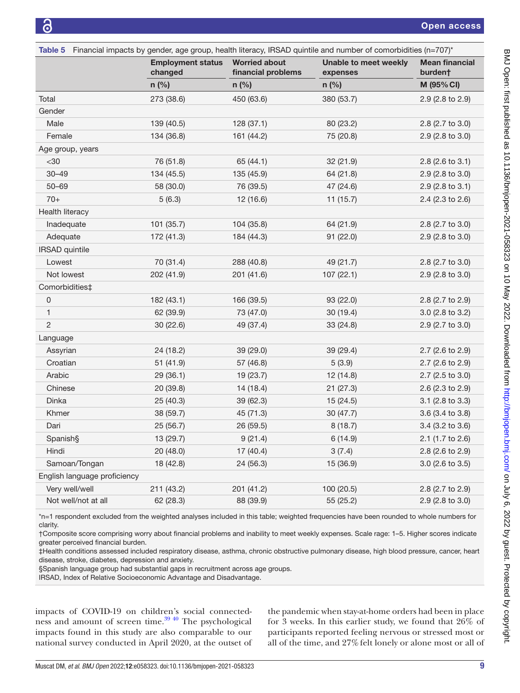<span id="page-8-0"></span>

| Table 5 Financial impacts by gender, age group, health literacy, IRSAD quintile and number of comorbidities (n=707)* |                                     |                                            |                                          |                                  |  |
|----------------------------------------------------------------------------------------------------------------------|-------------------------------------|--------------------------------------------|------------------------------------------|----------------------------------|--|
|                                                                                                                      | <b>Employment status</b><br>changed | <b>Worried about</b><br>financial problems | <b>Unable to meet weekly</b><br>expenses | <b>Mean financial</b><br>burden† |  |
|                                                                                                                      | $n$ (%)                             | $n$ (%)                                    | $n$ (%)                                  | M (95% CI)                       |  |
| Total                                                                                                                | 273 (38.6)                          | 450 (63.6)                                 | 380 (53.7)                               | 2.9 (2.8 to 2.9)                 |  |
| Gender                                                                                                               |                                     |                                            |                                          |                                  |  |
| Male                                                                                                                 | 139 (40.5)                          | 128(37.1)                                  | 80 (23.2)                                | 2.8 (2.7 to 3.0)                 |  |
| Female                                                                                                               | 134 (36.8)                          | 161 (44.2)                                 | 75 (20.8)                                | 2.9 (2.8 to 3.0)                 |  |
| Age group, years                                                                                                     |                                     |                                            |                                          |                                  |  |
| $30$                                                                                                                 | 76 (51.8)                           | 65 (44.1)                                  | 32 (21.9)                                | 2.8 (2.6 to 3.1)                 |  |
| $30 - 49$                                                                                                            | 134 (45.5)                          | 135 (45.9)                                 | 64 (21.8)                                | 2.9 (2.8 to 3.0)                 |  |
| $50 - 69$                                                                                                            | 58 (30.0)                           | 76 (39.5)                                  | 47 (24.6)                                | 2.9 (2.8 to 3.1)                 |  |
| $70+$                                                                                                                | 5(6.3)                              | 12 (16.6)                                  | 11(15.7)                                 | 2.4 (2.3 to 2.6)                 |  |
| Health literacy                                                                                                      |                                     |                                            |                                          |                                  |  |
| Inadequate                                                                                                           | 101 (35.7)                          | 104 (35.8)                                 | 64 (21.9)                                | 2.8 (2.7 to 3.0)                 |  |
| Adequate                                                                                                             | 172 (41.3)                          | 184 (44.3)                                 | 91(22.0)                                 | 2.9 (2.8 to 3.0)                 |  |
| <b>IRSAD</b> quintile                                                                                                |                                     |                                            |                                          |                                  |  |
| Lowest                                                                                                               | 70 (31.4)                           | 288 (40.8)                                 | 49 (21.7)                                | 2.8 (2.7 to 3.0)                 |  |
| Not lowest                                                                                                           | 202 (41.9)                          | 201 (41.6)                                 | 107(22.1)                                | 2.9 (2.8 to 3.0)                 |  |
| Comorbidities‡                                                                                                       |                                     |                                            |                                          |                                  |  |
| 0                                                                                                                    | 182 (43.1)                          | 166 (39.5)                                 | 93 (22.0)                                | 2.8 (2.7 to 2.9)                 |  |
| 1                                                                                                                    | 62 (39.9)                           | 73 (47.0)                                  | 30 (19.4)                                | 3.0 (2.8 to 3.2)                 |  |
| $\overline{c}$                                                                                                       | 30(22.6)                            | 49 (37.4)                                  | 33 (24.8)                                | 2.9 (2.7 to 3.0)                 |  |
| Language                                                                                                             |                                     |                                            |                                          |                                  |  |
| Assyrian                                                                                                             | 24 (18.2)                           | 39 (29.0)                                  | 39 (29.4)                                | 2.7 (2.6 to 2.9)                 |  |
| Croatian                                                                                                             | 51 (41.9)                           | 57 (46.8)                                  | 5(3.9)                                   | 2.7 (2.6 to 2.9)                 |  |
| Arabic                                                                                                               | 29 (36.1)                           | 19 (23.7)                                  | 12 (14.8)                                | 2.7 (2.5 to 3.0)                 |  |
| Chinese                                                                                                              | 20 (39.8)                           | 14 (18.4)                                  | 21(27.3)                                 | 2.6 (2.3 to 2.9)                 |  |
| Dinka                                                                                                                | 25 (40.3)                           | 39 (62.3)                                  | 15 (24.5)                                | 3.1 (2.8 to 3.3)                 |  |
| Khmer                                                                                                                | 38 (59.7)                           | 45 (71.3)                                  | 30(47.7)                                 | 3.6 (3.4 to 3.8)                 |  |
| Dari                                                                                                                 | 25 (56.7)                           | 26 (59.5)                                  | 8(18.7)                                  | 3.4 (3.2 to 3.6)                 |  |
| Spanish§                                                                                                             | 13 (29.7)                           | 9(21.4)                                    | 6(14.9)                                  | 2.1 (1.7 to 2.6)                 |  |
| Hindi                                                                                                                | 20 (48.0)                           | 17 (40.4)                                  | 3(7.4)                                   | 2.8 (2.6 to 2.9)                 |  |
| Samoan/Tongan                                                                                                        | 18 (42.8)                           | 24 (56.3)                                  | 15 (36.9)                                | 3.0 (2.6 to 3.5)                 |  |
| English language proficiency                                                                                         |                                     |                                            |                                          |                                  |  |
| Very well/well                                                                                                       | 211 (43.2)                          | 201 (41.2)                                 | 100 (20.5)                               | 2.8 (2.7 to 2.9)                 |  |
| Not well/not at all                                                                                                  | 62 (28.3)                           | 88 (39.9)                                  | 55 (25.2)                                | 2.9 (2.8 to 3.0)                 |  |

\*n=1 respondent excluded from the weighted analyses included in this table; weighted frequencies have been rounded to whole numbers for clarity.

†Composite score comprising worry about financial problems and inability to meet weekly expenses. Scale rage: 1–5. Higher scores indicate greater perceived financial burden.

‡Health conditions assessed included respiratory disease, asthma, chronic obstructive pulmonary disease, high blood pressure, cancer, heart disease, stroke, diabetes, depression and anxiety.

§Spanish language group had substantial gaps in recruitment across age groups.

IRSAD, Index of Relative Socioeconomic Advantage and Disadvantage.

impacts of COVID-19 on children's social connectedness and amount of screen time. $39\frac{40}{10}$  The psychological impacts found in this study are also comparable to our national survey conducted in April 2020, at the outset of

the pandemic when stay-at-home orders had been in place for 3 weeks. In this earlier study, we found that 26% of participants reported feeling nervous or stressed most or all of the time, and 27% felt lonely or alone most or all of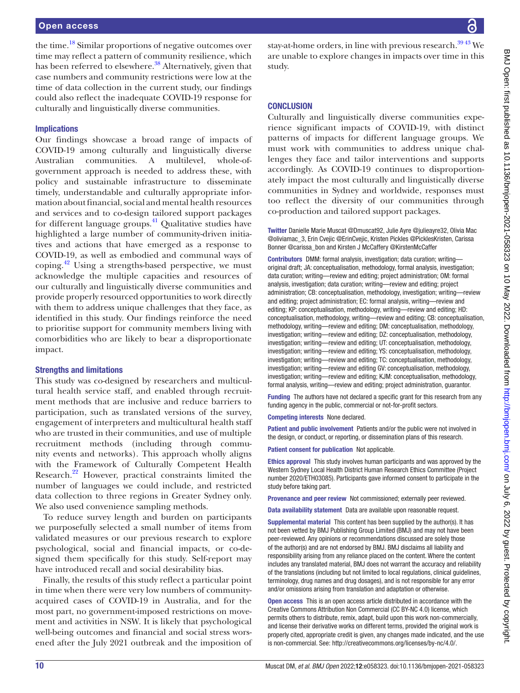the time[.18](#page-10-9) Similar proportions of negative outcomes over time may reflect a pattern of community resilience, which has been referred to elsewhere.<sup>38</sup> Alternatively, given that case numbers and community restrictions were low at the time of data collection in the current study, our findings could also reflect the inadequate COVID-19 response for culturally and linguistically diverse communities.

# Implications

Our findings showcase a broad range of impacts of COVID-19 among culturally and linguistically diverse Australian communities. A multilevel, whole-ofgovernment approach is needed to address these, with policy and sustainable infrastructure to disseminate timely, understandable and culturally appropriate information about financial, social and mental health resources and services and to co-design tailored support packages for different language groups.<sup>41</sup> Qualitative studies have highlighted a large number of community-driven initiatives and actions that have emerged as a response to COVID-19, as well as embodied and communal ways of coping[.42](#page-10-29) Using a strengths-based perspective, we must acknowledge the multiple capacities and resources of our culturally and linguistically diverse communities and provide properly resourced opportunities to work directly with them to address unique challenges that they face, as identified in this study. Our findings reinforce the need to prioritise support for community members living with comorbidities who are likely to bear a disproportionate impact.

# Strengths and limitations

This study was co-designed by researchers and multicultural health service staff, and enabled through recruitment methods that are inclusive and reduce barriers to participation, such as translated versions of the survey, engagement of interpreters and multicultural health staff who are trusted in their communities, and use of multiple recruitment methods (including through community events and networks). This approach wholly aligns with the Framework of Culturally Competent Health Research.[22](#page-10-13) However, practical constraints limited the number of languages we could include, and restricted data collection to three regions in Greater Sydney only. We also used convenience sampling methods.

To reduce survey length and burden on participants we purposefully selected a small number of items from validated measures or our previous research to explore psychological, social and financial impacts, or co-designed them specifically for this study. Self-report may have introduced recall and social desirability bias.

Finally, the results of this study reflect a particular point in time when there were very low numbers of communityacquired cases of COVID-19 in Australia, and for the most part, no government-imposed restrictions on movement and activities in NSW. It is likely that psychological well-being outcomes and financial and social stress worsened after the July 2021 outbreak and the imposition of stay-at-home orders, in line with previous research.<sup>3943</sup> We are unable to explore changes in impacts over time in this study.

# **CONCLUSION**

Culturally and linguistically diverse communities experience significant impacts of COVID-19, with distinct patterns of impacts for different language groups. We must work with communities to address unique challenges they face and tailor interventions and supports accordingly. As COVID-19 continues to disproportionately impact the most culturally and linguistically diverse communities in Sydney and worldwide, responses must too reflect the diversity of our communities through co-production and tailored support packages.

Twitter Danielle Marie Muscat [@Dmuscat92,](https://twitter.com/Dmuscat92) Julie Ayre [@julieayre32](https://twitter.com/julieayre32), Olivia Mac [@oliviamac\\_3](https://twitter.com/oliviamac_3), Erin Cvejic [@ErinCvejic,](https://twitter.com/ErinCvejic) Kristen Pickles [@PicklesKristen,](https://twitter.com/PicklesKristen) Carissa Bonner [@carissa\\_bon](https://twitter.com/carissa_bon) and Kirsten J McCaffery [@KirstenMcCaffer](https://twitter.com/KirstenMcCaffer)

Contributors DMM: formal analysis, investigation; data curation; writing original draft; JA: conceptualisation, methodology, formal analysis, investigation; data curation; writing—review and editing; project administration; OM: formal analysis, investigation; data curation; writing—review and editing; project administration; CB: conceptualisation, methodology, investigation; writing—review and editing; project administration; EC: formal analysis, writing—review and editing; KP: conceptualisation, methodology, writing—review and editing; HD: conceptualisation, methodology, writing—review and editing; CB: conceptualisation, methodology, writing—review and editing; DM: conceptualisation, methodology, investigation; writing—review and editing; DZ: conceptualisation, methodology, investigation; writing—review and editing; UT: conceptualisation, methodology, investigation; writing—review and editing; YS: conceptualisation, methodology, investigation; writing—review and editing; TC: conceptualisation, methodology, investigation; writing—review and editing GV: conceptualisation, methodology, investigation; writing—review and editing; KJM: conceptualisation, methodology, formal analysis, writing—review and editing; project administration, guarantor.

Funding The authors have not declared a specific grant for this research from any funding agency in the public, commercial or not-for-profit sectors.

Competing interests None declared.

Patient and public involvement Patients and/or the public were not involved in the design, or conduct, or reporting, or dissemination plans of this research.

Patient consent for publication Not applicable.

Ethics approval This study involves human participants and was approved by the Western Sydney Local Health District Human Research Ethics Committee (Project number 2020/ETH03085). Participants gave informed consent to participate in the study before taking part.

Provenance and peer review Not commissioned; externally peer reviewed.

Data availability statement Data are available upon reasonable request.

Supplemental material This content has been supplied by the author(s). It has not been vetted by BMJ Publishing Group Limited (BMJ) and may not have been peer-reviewed. Any opinions or recommendations discussed are solely those of the author(s) and are not endorsed by BMJ. BMJ disclaims all liability and responsibility arising from any reliance placed on the content. Where the content includes any translated material, BMJ does not warrant the accuracy and reliability of the translations (including but not limited to local regulations, clinical guidelines, terminology, drug names and drug dosages), and is not responsible for any error and/or omissions arising from translation and adaptation or otherwise.

Open access This is an open access article distributed in accordance with the Creative Commons Attribution Non Commercial (CC BY-NC 4.0) license, which permits others to distribute, remix, adapt, build upon this work non-commercially, and license their derivative works on different terms, provided the original work is properly cited, appropriate credit is given, any changes made indicated, and the use is non-commercial. See: [http://creativecommons.org/licenses/by-nc/4.0/.](http://creativecommons.org/licenses/by-nc/4.0/)